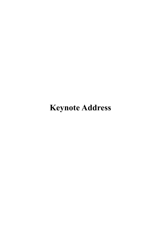# **Keynote Address**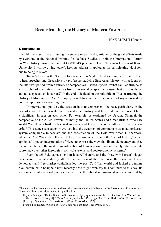# **Reconstructing the History of Modern East Asia**

# NAKANISHI Hiroshi

#### **1. Introduction**

I would like to start by expressing my sincere respect and gratitude for the great efforts made by everyone at the National Institute for Defense Studies to hold the International Forum on War History during the current COVID-19 pandemic. I am Nakanishi Hiroshi of Kyoto University. I will be giving today's keynote address. I apologize for participating via Zoom due to being in Kyoto.

Today's theme is the Security Environment in Modern East Asia and we are scheduled to hear speeches and discussions by professors studying East Asian history, with a focus on the inter-war period, from a variety of perspectives. I asked myself, "What can I contribute as a researcher of international politics from a historical perspective or using historical methods, and not a specialized historian?" In the end, I decided on the bold title of "Reconstructing the History of Modern East Asia." I hope you will forgive me if the content of my address does not live up to such a sweeping title.

In international politics, the issue of how to comprehend the past, particularly in the case of a war of such a scale that it transformed history, and how to define the present have a significant impact on each other. For example, as explained by Ueyama Shunpei, the perspective of the Allied Powers, primarily the United States and Great Britain, who saw World War II as a battle between democracy and fascism, heavily influenced the postwar order.**<sup>1</sup>** This stance subsequently evolved into the treatment of communism as an authoritarian system comparable to fascism and the construction of the Cold War order. Furthermore, when the Cold War ended, Francis Fukuyama famously declared the "end of history," which applied a Kojevian interpretation of Hegel to express the view that liberal democracy and free market capitalism, the modern manifestation of human reason, had ultimately established its supremacy over other ideologies, political systems, and socioeconomic systems.**<sup>2</sup>**

Even though Fukuyama's "end of history" rhetoric and the "new world order" slogan disappeared relatively shortly after the conclusion of the Cold War, the view that liberal democracy and free market capitalism led the post-Cold War world and lacked a genuine rival continued to be upheld until recently. One might even say this continues to this day. Its successor in international politics seems to be the liberal international order advocated by

<sup>\*</sup> This version has been adapted from the original keynote address delivered at the International Forum on War History with modifications added for publication.

<sup>1</sup> Ueyama Shunpei, "Daitoa Senso no Shisoshi-teki Igi [Significance of the Greater East Asia War in Terms of the History of Thought]," *Chuo Koron* (September 1961), pp. 98-107, in Ibid, *Daitoa Senso no Isan*  [Legacy of the Greater East Asia War] (Chuo Koron-sha, 1972).

<sup>2</sup> Francis Fukuyama, *The End of History and the Last Man* (Free Press, 1992).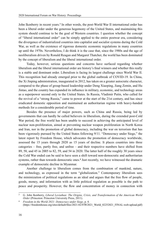John Ikenberry in recent years.**<sup>3</sup>** In other words, the post-World War II international order has been a liberal order under the generous hegemony of the United States, and maintaining this system should continue to be the goal of Western countries. I question whether the concept of "liberal international order" can be simply applied to the entire postwar era, considering the divergence of industrialized countries into capitalist and socialist systems during the Cold War, as well as the existence of rigorous domestic economic regulations in many countries up until the 1970s. Nevertheless, I do think it is the case that, since the 1980s and the age of neoliberalism driven by Ronald Reagan and Margaret Thatcher, the world has been dominated by the concept of liberalism and the liberal international order.

Today, however, serious questions and concerns have surfaced regarding whether liberalism and the liberal international order are history's final winners and whether this really is a stable and dominant order. Liberalism is facing its largest challenge since World War II. This recognition had already emerged prior to the global outbreak of COVID-19. In China, the Xi Jinping administration, inaugurated in 2012, has taken on a greater autocratic character, compared to the phase of group-based leadership under Deng Xiaoping, Jiang Zemin, and Hu Jintao, and the country has expanded its influence in military, economic, and technology areas as a superpower second only to the United States. In Russia, Vladimir Putin, who called for the revival of a "strong Russia," came to power at the start of the 21st century, and has since eradicated domestic opposition and maintained an authoritarian regime with heavy-handed methods for a considerable period of time.

Besides the presence of major powers, such as China and Russia, being led by governments that can hardly be called believers in liberalism, during the extended post-Cold War period, the free world has been unable to succeed in achieving the anticipated level of nuclear non-proliferation, aimed at preventing nuclear weapon proliferation in North Korea and Iran, nor in the promotion of global democracy, including the war on terrorism that has been vigorously pursued by the United States following 9/11. "Democracy under Siege," the latest report by Freedom House, which advocates the promotion of democracy worldwide, assessed the 15 years through 2020 as 15 years of decline. It places countries into three categories – free, partly free, and unfree – and their respective numbers have shifted from 89, 58, and 45 in 2005 to 82, 59, and 54 in 2020. The latter half of the roughly 30 years since the Cold War ended can be said to have seen a shift toward non-democratic and authoritarian systems, rather than towards democratic ones.**<sup>4</sup>** Just recently, we have witnessed the dramatic example of democratic decline in Myanmar.

Another challenge to liberalism comes from the combination of mankind, nature, and technology, as expressed in the term "globalization." Contemporary liberalism sees the minimization of political regulations as an ideal and argues that the free flow of people, goods, money, and information with as little political regulation as possible is the path to peace and prosperity. However, the flow and concentration of money in connection with

<sup>3</sup> G. John Ikenberry, *Liberal Leviathan: The Origins, Crisis, and Transformation of the American World Order* (Princeton: Princeton University Press, 2011).

<sup>4</sup> *Freedom in the World 2021: Democracy under Siege*, p. 4. (https://freedomhouse.org/sites/default/files/2021-02/FIW2021\_World\_02252021\_FINAL-web-upload.pdf)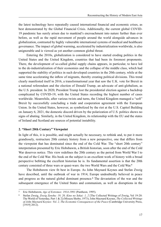the latest technology have repeatedly caused international financial and economic crises, as best demonstrated by the Global Financial Crisis. Additionally, the current global COVID-19 pandemic has surely arisen due to mankind's encroachment into nature further than ever before, as well as the rapid movement of people around the world alongside advances in globalization, contrasted by highly vulnerable international systems of medical and healthcare governance. The impact of global warming, accelerated by industrialization worldwide, is also unignorable and is viewed as yet another common global threat.

Entering the 2010s, globalization is considered to have started eroding politics in the United States and the United Kingdom, countries that had been its foremost proponents. There, the development of so-called global supply chains appears, in particular, to have led to the de-industrialization of their economies and the collapse of the middle class, which had supported the stability of politics in such developed countries in the 20th century, while at the same time accelerating the inflow of migrants, thereby creating political divisions. This trend clearly manifested itself in 2016, a transformational year that saw the U.K. vote for Brexit in a national referendum and the election of Donald Trump, an advocate of anti-globalism, as the U.S. president. In 2020, President Trump lost the presidential election against a backdrop complicated by COVID-19, with the United States recording the highest number of cases worldwide. Meanwhile, after various twists and turns, the United Kingdom managed a "soft" Brexit by successfully concluding a trade and cooperation agreement with the European Union. In the United States, however, as symbolized by the riot at the U.S. Capitol Building on January 6, 2021, the domestic discord driven by the polarization of U.S. politics shows no signs of abating. Similarly, in the United Kingdom, its relationship with the EU and the states of Ireland and Scotland are sources of potential instability.

#### **2. "Short 20th Century" Viewpoint**

In light of this, it is possible, and might actually be necessary, to rethink and, to put it more grandiosely, restructure 20th century history from a new perspective, one that differs from the viewpoint that has dominated since the end of the Cold War. The "short 20th century" interpretation presented by Eric Hobsbawm, a British historian, soon after the end of the Cold War deserves notice. This view redefines the 20th century as the period from World War I to the end of the Cold War. His book on the subject is an excellent work of history with a broad perspective befitting the excellent historian he is. Its fundamental assertion is that the 20th century consisted of three wars or quasi-wars: the two World Wars and the Cold War.**<sup>5</sup>**

The Hobsbawm view fit best in Europe. As John Maynard Keynes and Stefan Zweig have described, until the outbreak of war in 1914, Europe undoubtedly believed in peace and progress as the natural global dominant presence.**<sup>6</sup>** The devastation of the war and the subsequent emergence of the United States and communism, as well as disruptions in the

<sup>5</sup> Eric Hobsbawm, *Age of Extremes: 1914-1991* (Pantheon, 1995).

<sup>6</sup> Stefan Zweig, *Zweig Zenshu: 19, 20, Kino no Sekai: 1, 2* [The Collected Writings of Zweig, Vol 19-20: The World of Yesterday, Part 1 & 2] (Misuzu Shobo, 1973); John Maynard Keynes, *The Collected Writings of John Maynard Keynes: Vol. 2, The Economic Consequences of the Peace* (Cambridge University Press, [1919] 2012).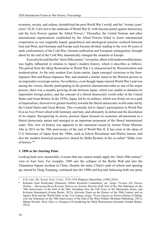economy, society, and culture, destabilized the post-World War I world, and the "twenty years' crisis" (E.H. Carr) led to the outbreak of World War II, with fascism pitted against democracy and the Axis Powers against the Allied Powers.**<sup>7</sup>** Thereafter, the United Nations and other international organizations established by the Allied Powers failed to foster international cooperation as was originally hoped, geopolitical and ideological tensions surfaced between East and West, and Germany and Europe each became divided, leading to the over 40 years of stark confrontation of the Cold War. German unification and European reintegration, brought about by the end of the Cold War, dramatically changed the situation in Europe.

It can also be said that the "short 20th century" viewpoint, albeit with modest modifications, was highly influential in relation to Japan's modern history, which it describes as follows. The period from the Meiji Restoration to World War I is characterized by Westernization and modernization. As the only modern East Asian nation, Japan emerged victorious in the Sino-Japanese War and Russo-Japanese War, and attained a similar status to the Western powers as an imperialist sovereign nation. Nevertheless, even though Japan entered World War I and was among the victors, thereby participating in the postwar international order as one of the major powers, there was a steadily growing divide between Japan, which was unable to abandon its imperialist foreign policy, and the concept of a liberal democratic world order in the United States and Great Britain. In the 1930s, Japan, led by its military, which was firmly set on a path of imperialism, showed ever greater hostility towards the liberal democratic world order led by the United States and Great Britain. This eventually led to Japan's participation in World War II as an Axis Power allied with Germany and Italy, and ultimately its defeat and the dissolution of its empire. Recognizing its errors, postwar Japan focused on economic advancement as a liberal democratic nation and emerged as an important proponent of the liberal international order. This view of history was apparent in the statement issued by former Prime Minister Abe in 2015 on the 70th anniversary of the end of World War II. It has roots in the ideas of U.S. historians of Japan from the 1960s, such as Edwin Reischauer and Marius Jansen, and also the modern historical perspective shared by Shiba Ryotaro in the so-called "Shiba view of history."**<sup>8</sup>**

### **3. 1890 as the Starting Point**

Looking back now, meanwhile, it seems that one cannot simply apply the "short 20th century" view to East Asia. For example, 1989 saw the collapse of the Berlin Wall and also the Tiananmen Square incident in China. Despite the latter, China's path of reform and opening up, started by Deng Xiaoping, continued into the 1990s and beyond, balancing both one-party

<sup>7</sup> E.H. Carr, *The Twenty Years' Crisis, 1919-1939* (Palgrave Macmillan, [1946] 2016).

<sup>8</sup> Kokunai Josei Kenkyukai [Domestic Affairs Research Committee], ed., *Sengo 70-nenn Abe Danwa Zenbun – Murayama/Kono/Koizumi Danwa mo Zenbun Shuroku* [Full Text of the Abe Statement on the 70th Anniversary of the End of the War: Including Also the Full Texts of the Murayama, Kono, and Koizumi Statements] (Goma Books, 2015); Advisory Panel on the History of the 20th Century and on Japan's Role and the World Order in the 21st Century, *Sengo 70-nen Danwa no Ronten* [Points of Debate over the Statement on the 70th Anniversary of the End of the War] (Nikkei Shimbun Publishing, 2015); Mitani Hiroshi, *Meiji Ishin wo Kangaeru* [Considering the Meiji Restoration] (Iwanami Gendai Bunko, 2012).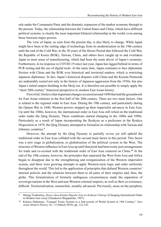rule under the Communist Party and the dramatic expansion of the market economy through to the present. Today, the relationship between the United States and China, which have different political systems, is clearly the most important bilateral relationship in the world, even among those between major powers.

The view of Japan, as seen from the present day, is also likely to change. While Japan might have been at the cutting edge of technology from its modernization in the 19th century until the end of the Cold War, in the 30 years of the Heisei Period that followed the Cold War, the Republic of Korea (ROK), Taiwan, China, and others have caught up to and overtaken Japan in most areas of manufacturing, which had been the main driver of Japan's economy. Furthermore, in its response to COVID-19 since last year, Japan has lagged behind in terms of PCR testing and the use of digital tools. At the same time, Japan continues to face diplomatic friction with China and the ROK over historical and territorial matters, which is restricting Japanese diplomacy. In fact, Japan's historical disputes with China and the Korean Peninsula are undeniably rooted not only in the history of Japanese aggression from the 1930s, but also Japan's initial empire-building in the Meiji era. It is therefore not possible to simply apply the "short 20th century" historical perspective to modern East Asian history.

First of all, I believe that important changes occurred around 1890 that laid the groundwork for East Asian relations in the first half of the 20th century. There are two main factors. One is related to the regional order in East Asia. During the 19th century, and particularly during the Opium War in 1840, Western powers stepped up their imperialist advances in East Asia. Up until the 1880s, however, the international order in East Asia still relied on the traditional order under the Qing Dynasty. These conditions started changing in the 1880s and 1890s. Particularly as a result of Japan incorporating the Ryukyus as a prefecture in the Ryukyu Disposition in 1879, the Qing Dynasty attempted to formalize its relationship with Taiwan and tributary countries.**<sup>9</sup>**

However, the attempt by the Qing Dynasty to partially revise yet still uphold the traditional order in East Asia collided with the second main factor in this period. This factor was a new stage in globalization, or globalization of the political system in the West. The structure of Western influence in East Asia up until that point had been treaty port arrangements for trade and co-existed with the traditional order of East Asia centered on China.**<sup>10</sup>** At the end of the 19th century, however, the principles that separated the West from Asia and Africa began to disappear due to the strengthening and reorganization of the Western imperialist system, and there were growing attempts to apply Western-style logic and order uniformly throughout the world. This led to the application of principles that defined Western countries' internal policies and the relations between them to all parts of their empires and, thus, the globe. This formalization of formerly ambiguous circumstances made the separation of sovereign nations in the West and non-Western colonial empires, as well as their co-existence, difficult. Territorialization, meanwhile, steadily advanced. Previously, areas on the periphery

<sup>9</sup> Motegi Toshimitsu, *Henyo Suru Kindai Higashi Asia no Kokusai Chitsujo* [Changing International Order in Modern East Asia] (Yamakawa Shuppansha, 1997).

<sup>10</sup> Kokaze Hidemasa, "Unequal Treaty System as a Sub-system of World System in 19th Century," *East Asian Modern History No. 13* (March 2010), pp. 122-142.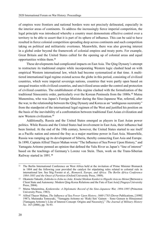of empires were frontiers and national borders were not precisely delineated, especially in the interior areas of continents. To address the increasingly fierce imperial competition, the legal principle was introduced whereby a country must demonstrate effective control over a territory to be able to assert that it is part of its sphere of influence. This can be said to have resulted in fierce colonial competition spreading deep across continents and such competition taking on political and militaristic overtones. Meanwhile, there was also growing interest in a global order beyond the framework of colonial empires and treaty ports. For example, Great Britain and the United States called for the opening up of colonial areas and equal opportunities within them.**<sup>11</sup>**

These developments had complicated impacts on East Asia. The Qing Dynasty's attempt to restructure its traditional empire while incorporating Western logic clashed head on with empirical Western international law, which had become systematized at that time. A multitiered international legal regime existed across the globe in this period, consisting of civilized countries, which were imperial sovereign nations, countries that were partly open based on unequal treaties with civilized countries, and uncivilized areas under the control and protection of civilized countries. The establishment of this regime clashed with the formalization of the traditional Sinocentric order, particularly over the Korean Peninsula from the 1880s.**<sup>12</sup>** Mutsu Munemitsu, who was Japan's Foreign Minister during the Sino-Japanese War, referred, after the war, to the relationship between the Qing Dynasty and Korea as an "ambiguous suzerainty" from the standpoint of the international legal regimen of the West and justified his position on the basis of the inevitability of a confrontation between traditional East Asian civilization and new Western civilization.**<sup>13</sup>**

Additionally, Russia and the United States emerged as players in East Asian power politics. While Russia and the United States had involvement in East Asia, their influence had been limited. At the end of the 19th century, however, the United States started to see itself as a Pacific nation and entered the fray as a major maritime power in East Asia. Meanwhile, Russia was ramping up its development of Siberia, thereby connecting East Asia and Europe. In 1890, Captain Alfred Thayer Mahan wrote "The Influence of Sea Power Upon History," and Yamagata Aritomo penned an opinion that defined the Yalu River as Japan's "line of interest" based on the teachings of Germany's Lorenz von Stein. Then, work on the Trans-Siberian Railway started in 1891.**<sup>14</sup>**

<sup>11</sup> The Berlin International Conference on West Africa held at the invitation of Prime Minister Bismarck in 1884 and the following year provided the catalyst for stipulating rules related to colonial rule in international law. See Stig Forster et al., *Bismarck, Europe, and Africa: The Berlin Africa Conference 1884-1885 and the Onset of Partition* (Oxford University Press, 1989).

<sup>&</sup>lt;sup>12</sup> Okamoto Takashi, *Zokkoku to Jishu no Aida: Kindai Shinkan Kankei to Higashi Asia no Meiun* [Between a Client State and Autonomy: Modern Qing-Korea Relations and the Fate of East Asia] (Nagoya University Press, 2004).

<sup>13</sup> Mutsu Munemitsu, *Kenkenroku: A Diplomatic Record of the Sino-Japanese War, 1894-1895* (Princeton University Press, 1983).

<sup>14</sup> Alfred Thayer Mahan, *The Influence of Sea Power Upon History, 1660-1783* (Dover Publications, [1890] 1987); Muranaka Tomoyuki, "Yamagata Aritomo no 'Rieki Sen' Gainen – Sono Gensen to Hitsuzensei [Yamagata Aritomo's Line of Interest Concept: Origins and Necessity]," *The Journal of Military History No. 165* (2006), pp. 76-93.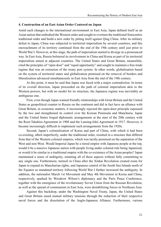#### **4. Construction of an East Asian Order Centered on Japan**

Amid such changes to the international environment in East Asia, Japan defined itself as an Asian nation that embodied the Western order and sought to overturn the traditional Sinocentric traditional order and build a new order by pitting itself against Qing China. After its military defeat to Japan, China was subjected to territorial imperialism by several countries, and this encroachment of its territory continued from the end of the 19th century until just prior to World War I. However, at this stage, the path of imperialism started to diverge in a pronounced way. In East Asia, Russia bolstered its involvement in China and Korea as part of its territorial imperialism aimed at adjacent countries. The United States and Great Britain, meanwhile, cited the principles of "open door" and "equal opportunity" and sought to maintain a free-trade regime that was an extension of the treaty port system. In other words, globalization based on the system of territorial states and globalization premised on the removal of borders and liberalization advanced simultaneously in East Asia from the end of the 19th century.

At this point, it must be said that Japan was faced with a major contradiction. In terms of its overall direction, Japan proceeded on the path of colonial imperialism akin to the Western powers, but with no model for its structure, the Japanese regime was inevitably an ambiguous one.

First, even though Japan wanted friendly relationships with Great Britain and the United States as geopolitical counter to Russia on the continent and did in fact have an alliance with Great Britain, in economic matters, it increasingly rejected the open-door principle espoused by the two and strengthened its control over the Korean Peninsula and Manchuria. Japan and the United States forged diplomatic arrangements at the start of the 20th century with the Root-Takahira Agreement in 1908 and the Lansing-Ishii Agreement in 1917. However, it became increasingly difficult to implement such arrangements from the 1920s.

Second, Japan's colonialization of Korea and part of China, with which it had been co-existing, albeit imperfectly, under the traditional order, resulted in a structure that differed from that of the Western colonial empires, which was tacitly premised on the separation of the West and non-West. Would Imperial Japan be a tiered empire with Japanese people at the top, would it be a massive Japanese nation with people living under colonial rule being Japanized, or would it be similar to a traditional empire with the co-existence of the Asian peoples? Japan maintained a sense of ambiguity, retaining all of these aspects without fully committing to any single one. Furthermore, turmoil in China after the Xinhai Revolution created room for Japan to expand its Manchurian rights, and Japanese control of the South Sea Islands north of the Equator as mandated territory following World War I further increased the ambiguity. In addition, the nationalist March 1st Movement and May 4th Movement in Korea and China, respectively, sparked by Woodrow Wilson's diplomacy and the Paris Peace Conference, together with the emergence of the revolutionary Soviet Union from the Russian Revolution, as well as the spread of communism in East Asia, were destabilizing forces in Northeast Asia.

Against this backdrop, under the Washington Naval Treaty, Japan, the United States and Great Britain eased mutual military tensions through the reduction of their respective naval forces and the dissolution of the Anglo-Japanese Alliance. Furthermore, various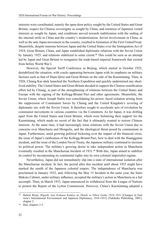interests were coordinated, namely the open-door policy sought by the United States and Great Britain, respect for Chinese sovereignty as sought by China, and retention of Japanese vested interests as sought by Japan, and conditions moved towards stabilization with the ending of the internal strife in China and the country's modernization. Soviet involvement in China, as well as the anti-Japan movement in the country, resulted in formation of the First United Front. Meanwhile, despite tensions between Japan and the United States over the Immigration Act of 1924, Great Britain, China, and Japan established diplomatic relations with the Soviet Union by January 1925, and relations stabilized to some extent.**<sup>15</sup>** This could be seen as an attempt led by Japan and Great Britain to reorganize the trade-based imperial framework that existed from before World War I.

However, the Special Tariff Conference in Beijing, which started in October 1925, destabilized the situation, with cracks appearing between Japan with its emphasis on military factions such as that of Duan Qirui and Great Britain on the side of the Kuomintang. Then, in 1926, Chiang Kai-shek launched the Northern Expedition and quickly undermined any shortlived stability. The United States and Great Britain decided to support the Chinese reunification effort led by Chiang, as part of the strengthening of relations between the United States and Europe with the signing of the Kellogg-Briand Pact and other agreements. Meanwhile, the Soviet Union, where Joseph Stalin was consolidating his power, faced isolation arising from the suppression of Communist forces by Chiang and the United Kingdom's severing of diplomatic ties with the Soviet Union. It therefore sought to accelerate acts of revolution by communist movements in various countries via the Comintern. As for Japan, it was drifting apart from the United States and Great Britain, which were bolstering their support for the Kuomintang, which made no secret of the fact that it ultimately wanted to restore Chinese interests. At the same time, it had increasingly tense relations with the Soviet Union due to concerns over Manchuria and Mongolia, and the ideological threat posed by communism in Japan. Furthermore, amid growing political bickering over the impact of the financial crisis, the issue of Japan's ratification of the Kellogg-Briand Pact, how to deal with the Huanggutun incident, and the issue of the London Naval Treaty, the Japanese military continued to increase its political power. The military's growing desire to take independent action in Manchuria eventually resulted in the Manchurian Incident of 1931.**<sup>16</sup>** With this, Japan aimed to stabilize its control by incorporating its continental rights into its own colonial imperialist regime.

Nevertheless, Japan did not immediately slip into a state of international isolation after the Manchurian incident. In fact, the period after this incident until about 1935 might have marked the zenith of the Japanese colonial empire. The independence of Manchuria was proclaimed in January 1932, and, following the May 15 Incident in the same year, the Saito Makoto Cabinet, under military influence, accepted the military's action in Manchuria as a fait accompli. Then, in March 1933, Japan announced its withdrawal from the League of Nations to protest the Report of the Lytton Commission. However, China's Kuomintang adopted a

<sup>15</sup> Hattori Ryuji, *Higashi Asia Kokusai Kankyo no Hendo to Nihon Gaiko 1918–1931* [Changes in East Asia's International Environment and Japanese Diplomacy, 1918-1931] (Yuhikaku Publishing, 2001), chapter 2.

<sup>16</sup> Ibid, chapters 3-5.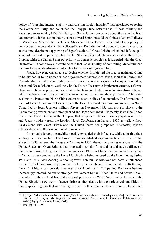policy of "pursuing internal stability and resisting foreign invasion" that prioritized opposing the Communist Party, and concluded the Tanggu Truce between the Chinese military and Kwantung Army in May 1933. Similarly, the Soviet Union, concerned about the rise of the Nazi government, adopted a conciliatory stance toward Japan and sold the Chinese Eastern Railway to Manchuria. Meanwhile, the United States and Great Britain, which adopted a policy of non-recognition grounded in the Kellogg-Briand Pact, did not take concrete countermeasures at this time, despite not approving of Japan's actions.**<sup>17</sup>** Great Britain, which had left the gold standard, focused on policies related to the Sterling Bloc, which was centered on the British Empire, while the United States put priority on domestic policies as it struggled with the Great Depression. In some ways, it could be said that Japan's policy of controlling Manchuria had the possibility of stabilizing, amid such a framework of regional blocs.

Japan, however, was unable to decide whether it preferred the area of mainland China to be divided or to be unified under a government favorable to Japan. Ishibashi Tanzan and Yoshida Shigeru, who were both pro-British, tried to revive a system of cooperation led by Japan and Great Britain by working with the British Treasury to implement currency reforms. However, anti-Japan protectionists in the United Kingdom had strong misgivings toward Japan, while the Japanese military remained adamant about maintaining the upper hand in China and seeking to advance into North China and resisted any policy of cooperation. The formation of the East Hebei Autonomous Council (later the East Hebei Autonomous Government) in North China, led by local Japanese military forces, on November 1935 was a major shock to the Kuomintang government and strengthened anti-Japan sentiment. Ultimately, it was the United States and Great Britain, without Japan, that supported Chinese currency system reforms, and Japan withdrew from the London Naval Conference in January 1936 as well, without its divisions with Great Britain and the United States being repaired. Thereafter, Japan's relationships with the two continued to worsen.**<sup>18</sup>**

Communist forces, meanwhile, steadily expanded their influence, while adjusting their strategy and composition. The Soviet Union established diplomatic ties with the United States in 1933, entered the League of Nations in 1934, thereby improving relations with the United States and Great Britain, and proposed a popular front and an anti-fascist alliance at the Seventh World Congress of the Comintern in 1935. In China, the Communist Party fled to Yunnan after completing the Long March while being pursued by the Kuomintang during 1934 and 1935. Mao Zedong, a "homegrown" communist who was not heavily influenced by the Soviet Union, rose to prominence in the process. Overall, from the late 1920s through the mid-1930s, it can be said that international politics in Europe and East Asia became increasingly intertwined due to stronger involvement by the United States and Soviet Union, in contrast to their retreat from international politics after World War I, while Japan and the United Kingdom saw their influence shrink as they dealt with the various vulnerabilities in their imperial regimes that were being exposed. In this process, China received international

<sup>17</sup> Lu Xijun, "Manshu Jihen to Nicchu Senso [Manchuria Incident and the Sino-Japanese War]," in Kawashima Shin and Hattori Ryuji, eds., *Higashi Asia Kokusai Kankei Shi* [History of International Relations in East Asia] (Nagoya University Press, 2007).

<sup>18</sup> Ibid, pp. 147-149.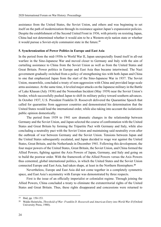assistance from the United States, the Soviet Union, and others and was beginning to set itself on the path of modernization through its resistance against Japan's expansionist policies. Despite the establishment of the Second United Front in 1936, with priority on resisting Japan, China had not determined whether it would aim to be a Western-style nation state or whether it would pursue a Soviet-style communist state in the future.**<sup>19</sup>**

# **5. Synchronization of Power Politics in Europe and East Asia**

In the period from the mid-1930s to World War II, Japan unexpectedly found itself in all-out warfare in the Sino-Japanese War and moved closer to Germany and Italy with the aim of curtailing assistance to China from the Soviet Union as well as from the United States and Great Britain. Power politics in Europe and East Asia thus became intertwined. The Nazi government gradually switched from a policy of strengthening ties with both Japan and China to one that emphasized Japan from the start of the Sino-Japanese War in 1937. The Soviet Union, meanwhile, concluded a treaty of non-aggression with China and provided large-scale arms assistance. At the same time, it leveled major attacks on the Japanese military in the Battle of Lake Khasan (July 1938) and the Nomonhan Incident (May 1939) near the Soviet Union's border, which successfully pushed Japan to shift its military policy toward southern advances. In October 1937, U.S. President Franklin D. Roosevelt delivered the Quarantine Speech that called for quarantine from aggressor countries and demonstrated his determination that the United States would lead the international order, while also taking into account the isolationist public opinion domestically.

The period from 1939 to 1941 saw dramatic changes in the relationship between Germany and the Soviet Union, and Japan selected the course of confrontation with the United States and Great Britain by forming the Tripartite Pact with Germany and Italy, while also concluding a neutrality pact with the Soviet Union and maintaining said neutrality even after the outbreak of war between Germany and the Soviet Union. Tensions between Japan and the United States subsequently escalated, and Japan decided to wage war against the United States, Great Britain, and the Netherlands in December 1941. Following this development, the four major powers of the United States, Great Britain, the Soviet Union, and China formed the Allied Powers, fighting against the Axis Powers of Japan, Germany, and Italy and going on to build the postwar order. With the framework of the Allied Powers versus the Axis Powers thus cemented, global international politics, in which the United States and the Soviet Union connected Europe and East Asia, had taken shape, at least in the Northern Hemisphere.**<sup>20</sup>**

Nevertheless, Europe and East Asia did not come together in a completely symmetric space, and East Asia's asymmetry with Europe was demonstrated by three respects.

First is the issue of an officially imperialist or colonialist regime. Through joining the Allied Powers, China concluded a treaty to eliminate the extraterritorial rights of the United States and Great Britain. Thus, these rights disappeared and concessions were returned to

<sup>19</sup> Ibid, pp. 150-153.

<sup>20</sup> Waldo Heinrichs, *Threshold of War: Franklin D. Roosevelt and American Entry into World War II* (Oxford University Press, 1988).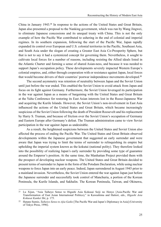China in January 1943.**<sup>21</sup>** In response to the actions of the United States and Great Britain, Japan also presented a proposal to the Nanking government, which was run by Wang Jingwei, to eliminate Japanese concessions and its unequal treaty with China. This is not the only example of how the Pacific War contributed to ushering in the end of colonial and imperial regimes. In its southern expansion, following the start of the Pacific War, Japan rapidly expanded its control over European and U.S. colonial territories in the Pacific, Southeast Asia, and South Asia under the slogan of creating a Greater East Asia Co-Prosperity Sphere, but that is not to say it had a systemized concept for governing them. Nevertheless, it sought to cultivate local forces for a number of reasons, including resisting the Allied ideals listed in the Atlantic Charter and forming a sense of shared Asian-ness, and because it was needed to support Japan's occupation policy. These developments severely impacted Western Europe's colonial empires, and, either through cooperation with or resistance against Japan, local forces that would become drivers of their countries' postwar independence movements developed.**<sup>22</sup>**

The second asymmetry was retention of neutrality between Japan and the Soviet Union until just before the war ended. This enabled the Soviet Union to avoid attack from Japan and focus on its fight against Germany. Furthermore, the Soviet Union leveraged its participation in the war against Japan as a means of bargaining with the United States and Great Britain at the Yalta Conference for restoring its East Asian interests lost in the Russo-Japanese War and acquiring the Kurile Islands. However, the Soviet Union's non-involvement in East Asia influenced the actions of the United States and Great Britain, which became increasingly suspicious of the Soviet Union following the death of President Roosevelt and his replacement by Harry S. Truman, and because of friction over the Soviet Union's occupation of Germany and Eastern Europe after Germany's defeat. The Truman administration came to view Soviet participation in the war against Japan as undesirable.

As a result, the heightened suspicions between the United States and Soviet Union also affected the process of ending the Pacific War. The United States and Great Britain observed developments within the Japanese government that suggested an early surrender and were aware that Japan was trying to limit the terms of surrender to relinquishing its empire but upholding the imperial system known as the kokutai (national polity). They therefore looked into the possibility of realizing Japan's early surrender by providing some type of guarantee around the Emperor's position. At the same time, the Manhattan Project provided them with the prospect of developing nuclear weapons. The United States and Great Britain decided to present terms of surrender to Japan in the form of the Potsdam Declaration, while using nuclear weapons to force Japan into an early peace. Indeed, Japan surrendered in August 1945 prior to a mainland invasion. Nevertheless, the Soviet Union entered the war against Japan just before the Japanese surrender and successfully took control of Manchuria, a portion of the Korean Peninsula, the Kurile Islands, and Sakhalin. The Korean Peninsula, Taiwan, and Okinawa,

<sup>21</sup> Lu Xijun, "Asia Taiheyo Senso to Higashi Asia Kokusai Seiji no Henyo [Asia-Pacific War and Transformation of East Asian International Politics)," in Kawashima and Hattori, eds., *Higashi Asia Kokusai Kankei Shi*, p. 175.

<sup>22</sup> Hatano Sumio, *Taiheiyo Senso to Ajia Gaiko* [The Pacific War and Japan's Diplomacy in Asia] (University of Tokyo Press, 1996).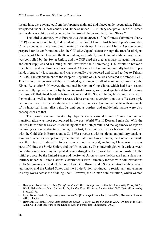meanwhile, were separated from the Japanese mainland and placed under occupation. Taiwan was placed under Chinese control and Okinawa under U.S. military occupation, but the Korean Peninsula was split up and occupied by the Soviet Union and the United States.**<sup>23</sup>**

The third asymmetry with Europe was the emergence of the Chinese Communist Party (CCP) as an entity relatively independent of the Soviet Union. Just before Japan's surrender, Chiang concluded the Sino-Soviet Treaty of Friendship, Alliance and Mutual Assistance and prepared for its confrontation with the CCP after Japan's defeat through the transfer of rights in northeast China. However, the Kuomintang was initially unable to enter Manchuria, which was controlled by the Soviet Union, and the CCP used the area as a base for acquiring arms and other supplies and resuming its civil war with the Kuomintang. U.S. efforts to broker a truce failed, and an all-out civil war ensued. Although the Kuomintang initially had the upper hand, it gradually lost strength and was eventually overpowered and forced to flee to Taiwan in 1948. The establishment of the People's Republic of China was declared in October 1949. This marked the creation of the first unified government of all of mainland China since the Xinhai Revolution.**<sup>24</sup>** However, the national borders of Qing China, which had been treated as a partially opened country by the major world powers, were inadequately defined, leaving the issue of ill-defined borders between China and the Soviet Union, India, and the Korean Peninsula, as well as in maritime areas. China obtained sovereignty not as a Western-style nation state with formally established territories, but as a Communist state with remnants of its historical imperialist traits. Its ambiguous borders and multiethnic nature were also consequences of that.

The power vacuum created by Japan's early surrender and China's communist transformation was most pronounced in the post-World War II Korean Peninsula. With the United States and the Soviet Union facing off at the 38th parallel and the legitimacy of Japan's colonial governance structures having been lost, local political battles became intermingled with the Cold War in Europe, and a Cold War structure, with its global and military tensions, took hold. After its occupation by the United States and Soviet Union, the Korean Peninsula saw the return of nationalist forces from around the world, including Manchuria, various parts of China, the Soviet Union, and the United States. They intermingled with various weak domestic forces, resulting in repeated power struggles. There was also broad opposition to the initial proposal by the United States and the Soviet Union to make the Korean Peninsula a trust territory under the United Nations. Governments were ultimately formed with administrations led by Syngman Rhee under U.S. control and Kim Il-sung under Soviet control but they lacked legitimacy, and the United States and the Soviet Union continued to restrict any movements to unify Korea across the dividing line.**<sup>25</sup>** However, the Truman administration, which wanted

<sup>23</sup> Hasegawa Tsuyoshi, ed., *The End of the Pacific War: Reappraisals* (Stanford University Press, 2007); Waldo Heinrichs and Marc Gallicchio, *Implacable Foes: War in the Pacific, 1944-1945* (Oxford University Press, 2017).

<sup>24</sup> Kubo Tooru, *Syakai Syugi eno Cyosen 1945-1971* [Challenge to Socialism, 1945-1971] (Iwanami Shinsho, 2011), chapter 1.

<sup>25</sup> Hirayama Tatsumi, *Higashi Asia Reisen no Kigen – Chosen Hanto Bundan no Kozu* [Origins of the East Asian Cold War: Structure of the Divided Korean Peninsula] (Shinzansha, 2002).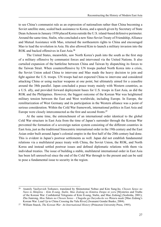to see China's communist rule as an expression of nationalism rather than China becoming a Soviet satellite state, scaled back assistance to Korea, and a speech given by Secretary of State Dean Acheson in January 1950 placed Korea outside the U.S. island-based defensive perimeter. Around the same time, Stalin, who concluded a new Sino-Soviet Treaty of Friendship, Alliance and Mutual Assistance with Mao, returned the northeastern rights to China and encouraged Mao to lead the revolution in Asia. He also allowed Kim to launch a military invasion into the ROK and backed offensives in East Asia.**<sup>26</sup>**

The United States, meanwhile, saw North Korea's push into the south as the first step of a military offensive by communist forces and intervened via the United Nations. It also curtailed expansion of the battleline between China and Taiwan by dispatching its forces to the Taiwan Strait. When counteroffensive by UN troops pushed North Korea into a crisis, the Soviet Union asked China to intervene and Mao made the heavy decision to join and fight against the U.S. troops. UN troops had not expected China to intervene and considered attacking China or using nuclear weapons at one point, but ultimately aimed for a ceasefire around the 38th parallel. Japan concluded a peace treaty mainly with Western countries, as a U.S. ally, and provided forward deployment bases for U.S. troops in East Asia, as did the ROK and the Philippines. However, the biggest outcome of the Korean War was heightened military tension between the East and West worldwide, including Europe. In Europe, the remilitarization of West Germany and its participation in the Western alliance was a point of serious consideration. Within the Cold War framework, international politics in East Asia and Europe were closely interconnected as the first and second fronts.**<sup>27</sup>**

At the same time, the entrenchment of an international order identical to the global Cold War structure in East Asia from the time of Japan's surrender through the Korean War prevented the formation of a sovereign nation system consisting of the different countries in East Asia, just as the traditional Sinocentric international order in the 19th century and the East Asian order built around Japan's colonial empire in the first half of the 20th century had done. This is evident in Japan's postwar settlements as well. Japan did not establish fundamental relations via a multilateral peace treaty with China, the Soviet Union, the ROK, and North Korea and instead settled postwar issues and defined diplomatic relations with them via individual treaties. The issue of building a stable, multilateral international order in East Asia has been left unresolved since the end of the Cold War through to the present and can be said to pose a fundamental issue to security in the region.

<sup>26</sup> Anatoly Vasilyevich Torkunov, translated by Shimotomai Nobuo and Kim Sung-ho, *Chosen Senso no Nazo to Shinjitsu – Kim Il-sung, Stalin, Mao Zedong no Kimitsu Denpo ni yoru* [Mysteries and Truths of the Korean War: Confidential Telegrams of Kim Il-sung, Stalin, and Mao Zedong] (Soshisha, 2001); Zhu Jianrong, *Mou Takuto no Chosen Senso – Chugoku ga Ouryoku-ko wo Wataru made* [Mao Zedong's Korean War: Lead Up to China Crossing the Yalu River] (Iwanami Gendai Bunko, 2004).

<sup>27</sup> William Stueck, *The Korean War: An International History* (Princeton University Press, 1995).